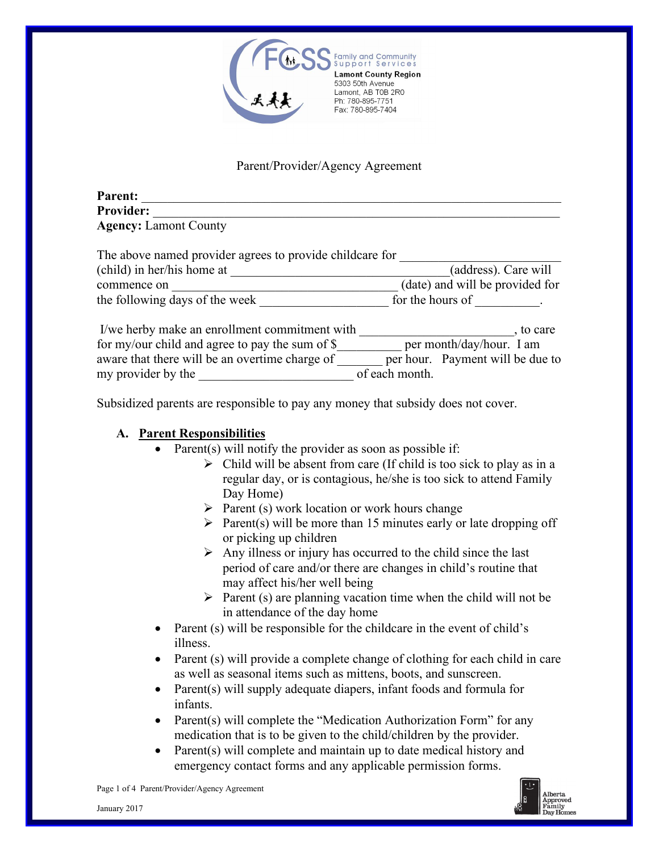

# Parent/Provider/Agency Agreement

| <b>Parent:</b>                                         |  |
|--------------------------------------------------------|--|
| <b>Provider:</b>                                       |  |
| <b>Agency: Lamont County</b>                           |  |
| The chose nemed movidar conces to movida shildeens for |  |

| The above hanned provider agrees to provide childcare for |                                  |
|-----------------------------------------------------------|----------------------------------|
| (child) in her/his home at                                | (address). Care will             |
| commence on                                               | (date) and will be provided for  |
| the following days of the week                            | for the hours of                 |
| I/we herby make an enrollment commitment with             | , to care                        |
| for my/our child and agree to pay the sum of $\$$         | per month/day/hour. I am         |
| aware that there will be an overtime charge of            | per hour. Payment will be due to |
| my provider by the                                        | of each month.                   |

Subsidized parents are responsible to pay any money that subsidy does not cover.

### **A. Parent Responsibilities**

- Parent(s) will notify the provider as soon as possible if:
	- $\triangleright$  Child will be absent from care (If child is too sick to play as in a regular day, or is contagious, he/she is too sick to attend Family Day Home)
	- $\triangleright$  Parent (s) work location or work hours change
	- $\triangleright$  Parent(s) will be more than 15 minutes early or late dropping off or picking up children
	- $\triangleright$  Any illness or injury has occurred to the child since the last period of care and/or there are changes in child's routine that may affect his/her well being
	- $\triangleright$  Parent (s) are planning vacation time when the child will not be in attendance of the day home
- Parent (s) will be responsible for the childcare in the event of child's illness.
- Parent (s) will provide a complete change of clothing for each child in care as well as seasonal items such as mittens, boots, and sunscreen.
- Parent(s) will supply adequate diapers, infant foods and formula for infants.
- Parent(s) will complete the "Medication Authorization Form" for any medication that is to be given to the child/children by the provider.
- Parent(s) will complete and maintain up to date medical history and emergency contact forms and any applicable permission forms.



Page 1 of 4 Parent/Provider/Agency Agreement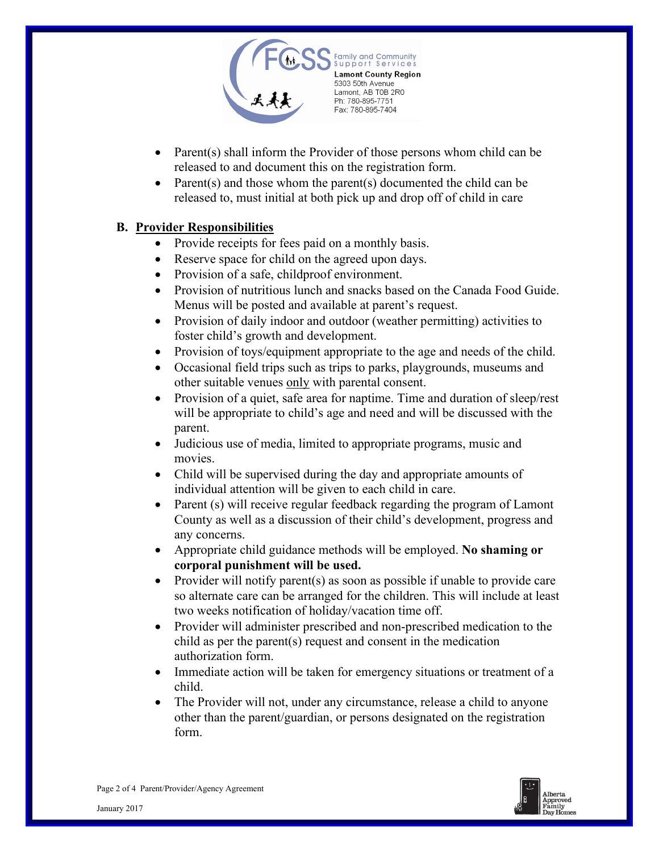

- Parent(s) shall inform the Provider of those persons whom child can be released to and document this on the registration form.
- Parent(s) and those whom the parent(s) documented the child can be released to, must initial at both pick up and drop off of child in care

## **B. Provider Responsibilities**

- Provide receipts for fees paid on a monthly basis.
- Reserve space for child on the agreed upon days.
- Provision of a safe, childproof environment.
- Provision of nutritious lunch and snacks based on the Canada Food Guide. Menus will be posted and available at parent's request.
- Provision of daily indoor and outdoor (weather permitting) activities to foster child's growth and development.
- Provision of toys/equipment appropriate to the age and needs of the child.
- Occasional field trips such as trips to parks, playgrounds, museums and other suitable venues only with parental consent.
- Provision of a quiet, safe area for naptime. Time and duration of sleep/rest will be appropriate to child's age and need and will be discussed with the parent.
- Judicious use of media, limited to appropriate programs, music and movies.
- Child will be supervised during the day and appropriate amounts of individual attention will be given to each child in care.
- Parent (s) will receive regular feedback regarding the program of Lamont County as well as a discussion of their child's development, progress and any concerns.
- Appropriate child guidance methods will be employed. **No shaming or corporal punishment will be used.**
- Provider will notify parent(s) as soon as possible if unable to provide care so alternate care can be arranged for the children. This will include at least two weeks notification of holiday/vacation time off.
- Provider will administer prescribed and non-prescribed medication to the child as per the parent(s) request and consent in the medication authorization form.
- Immediate action will be taken for emergency situations or treatment of a child.
- The Provider will not, under any circumstance, release a child to anyone other than the parent/guardian, or persons designated on the registration form.

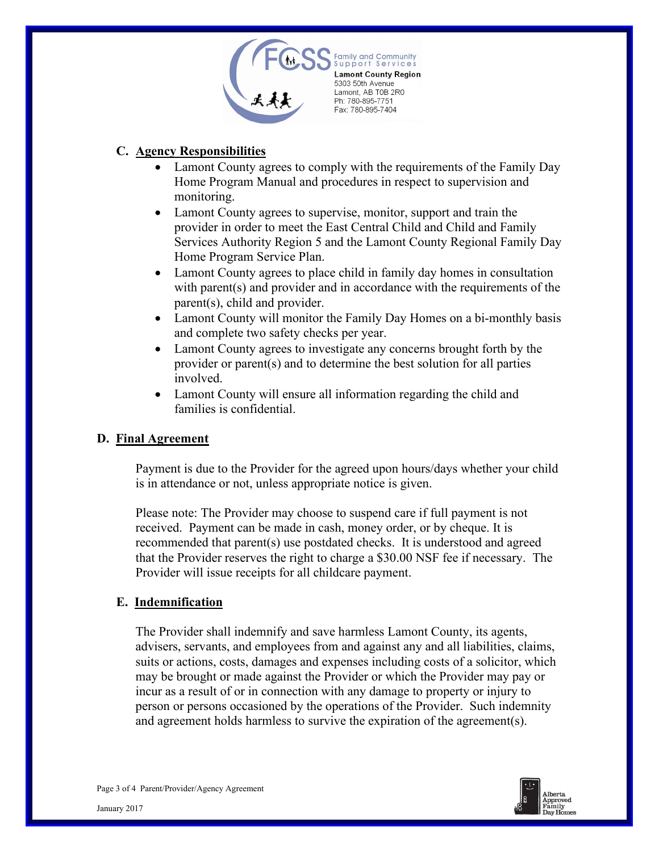

# **C. Agency Responsibilities**

- Lamont County agrees to comply with the requirements of the Family Day Home Program Manual and procedures in respect to supervision and monitoring.
- Lamont County agrees to supervise, monitor, support and train the provider in order to meet the East Central Child and Child and Family Services Authority Region 5 and the Lamont County Regional Family Day Home Program Service Plan.
- Lamont County agrees to place child in family day homes in consultation with parent(s) and provider and in accordance with the requirements of the parent(s), child and provider.
- Lamont County will monitor the Family Day Homes on a bi-monthly basis and complete two safety checks per year.
- Lamont County agrees to investigate any concerns brought forth by the provider or parent(s) and to determine the best solution for all parties involved.
- Lamont County will ensure all information regarding the child and families is confidential.

#### **D. Final Agreement**

Payment is due to the Provider for the agreed upon hours/days whether your child is in attendance or not, unless appropriate notice is given.

Please note: The Provider may choose to suspend care if full payment is not received. Payment can be made in cash, money order, or by cheque. It is recommended that parent(s) use postdated checks. It is understood and agreed that the Provider reserves the right to charge a \$30.00 NSF fee if necessary. The Provider will issue receipts for all childcare payment.

#### **E. Indemnification**

The Provider shall indemnify and save harmless Lamont County, its agents, advisers, servants, and employees from and against any and all liabilities, claims, suits or actions, costs, damages and expenses including costs of a solicitor, which may be brought or made against the Provider or which the Provider may pay or incur as a result of or in connection with any damage to property or injury to person or persons occasioned by the operations of the Provider. Such indemnity and agreement holds harmless to survive the expiration of the agreement(s).